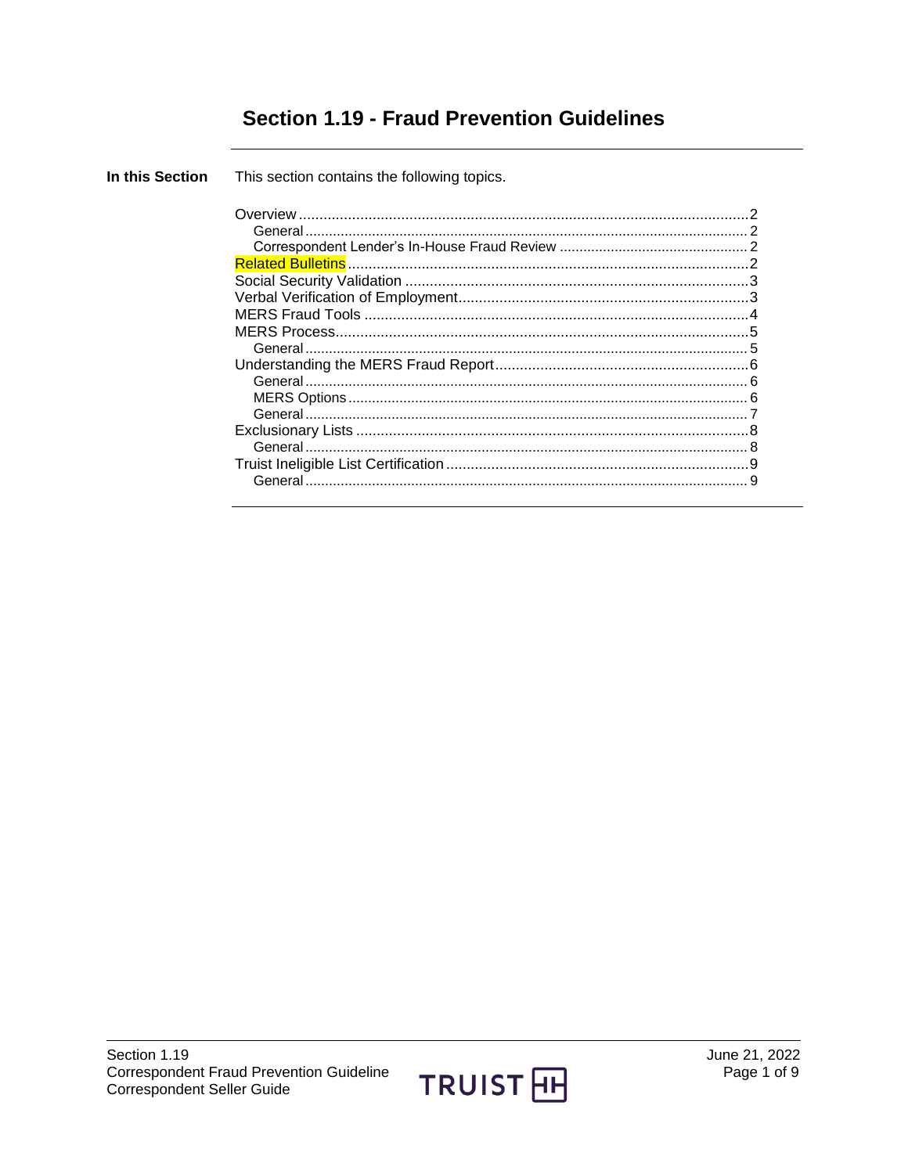# **Section 1.19 - Fraud Prevention Guidelines**

| In this Section | This section contains the following topics. |  |
|-----------------|---------------------------------------------|--|
|                 |                                             |  |
|                 |                                             |  |

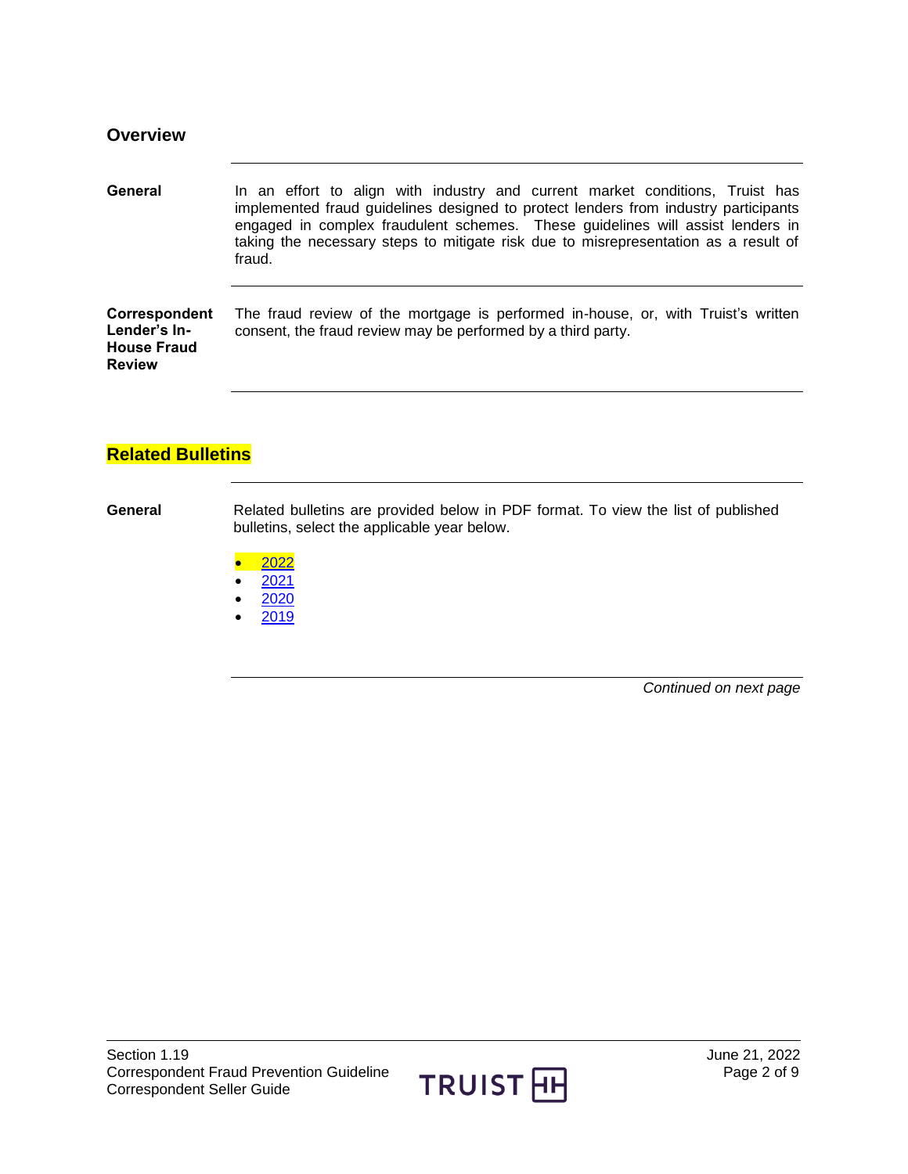<span id="page-1-2"></span><span id="page-1-1"></span><span id="page-1-0"></span>

| <b>Overview</b>                                                      |                                                                                                                                                                                                                                                                                                                                                         |
|----------------------------------------------------------------------|---------------------------------------------------------------------------------------------------------------------------------------------------------------------------------------------------------------------------------------------------------------------------------------------------------------------------------------------------------|
| General                                                              | In an effort to align with industry and current market conditions, Truist has<br>implemented fraud guidelines designed to protect lenders from industry participants<br>engaged in complex fraudulent schemes. These guidelines will assist lenders in<br>taking the necessary steps to mitigate risk due to misrepresentation as a result of<br>fraud. |
| Correspondent<br>Lender's In-<br><b>House Fraud</b><br><b>Review</b> | The fraud review of the mortgage is performed in-house, or, with Truist's written<br>consent, the fraud review may be performed by a third party.                                                                                                                                                                                                       |
|                                                                      |                                                                                                                                                                                                                                                                                                                                                         |
| <b>Related Bulletins</b>                                             |                                                                                                                                                                                                                                                                                                                                                         |

<span id="page-1-3"></span>**General** Related bulletins are provided below in PDF format. To view the list of published bulletins, select the applicable year below.

- $\bullet$  [2022](https://truistsellerguide.com/manual/cor/bulletins/related%20bulletins/2022/CFraudPrevention2022.pdf)
- $2021$  $2021$
- $2020$  $2020$
- $2019$  $2019$

*Continued on next page*

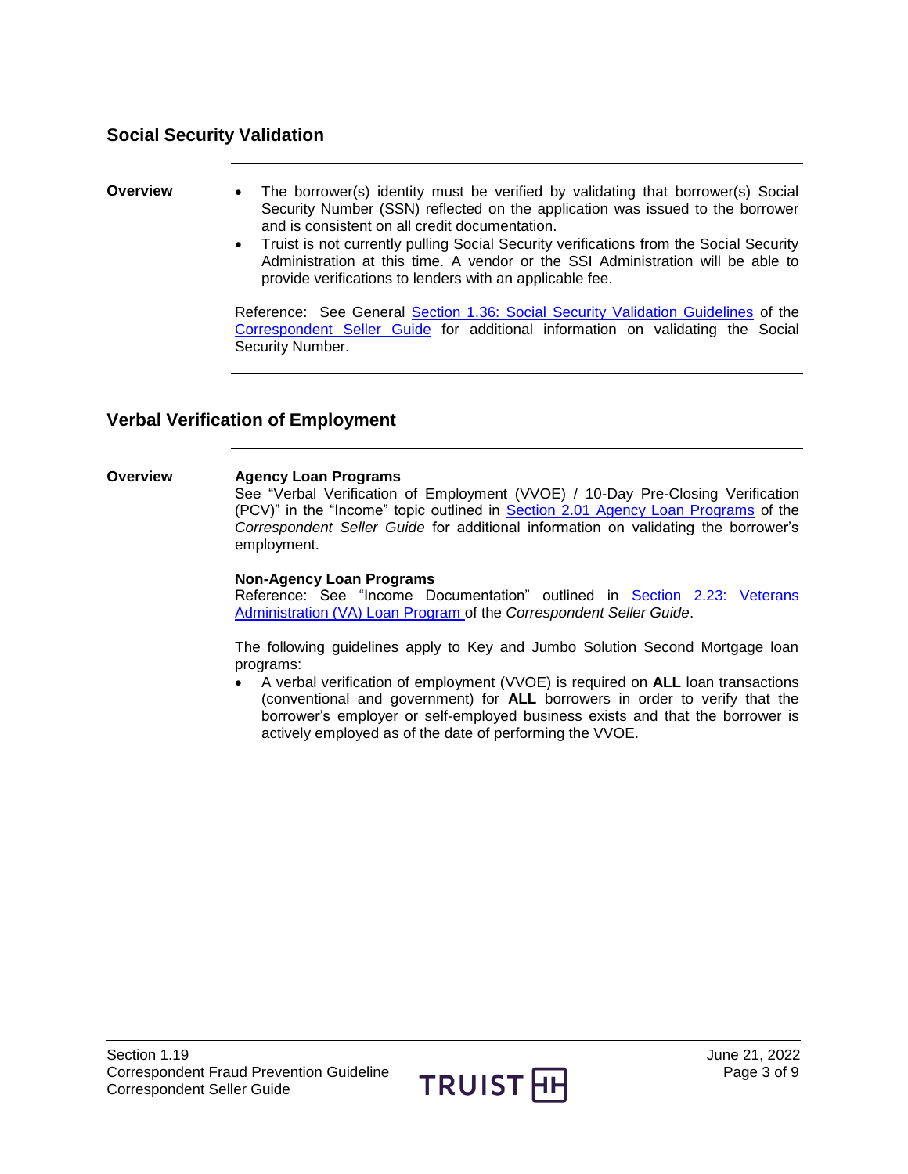## <span id="page-2-0"></span>**Social Security Validation**

- **Overview •** The borrower(s) identity must be verified by validating that borrower(s) Social Security Number (SSN) reflected on the application was issued to the borrower and is consistent on all credit documentation.
	- Truist is not currently pulling Social Security verifications from the Social Security Administration at this time. A vendor or the SSI Administration will be able to provide verifications to lenders with an applicable fee.

Reference: See General [Section 1.36: Social Security Validation Guidelines](https://truistsellerguide.com/manual/cor/general/1.36SocialSecurity.pdf) of the [Correspondent Seller Guide](https://truistsellerguide.com/) for additional information on validating the Social Security Number.

## <span id="page-2-1"></span>**Verbal Verification of Employment**

#### **Overview Agency Loan Programs**

See "Verbal Verification of Employment (VVOE) / 10-Day Pre-Closing Verification (PCV)" in the "Income" topic outlined in [Section 2.01 Agency Loan Programs](https://truistsellerguide.com/manual/cor/products/cagency.pdf) of the *Correspondent Seller Guide* for additional information on validating the borrower's employment.

#### **Non-Agency Loan Programs**

Reference: See "Income Documentation" outlined in [Section 2.23: Veterans](https://truistsellerguide.com/manual/cor/products/CVA.pdf)  [Administration \(VA\) Loan Program o](https://truistsellerguide.com/manual/cor/products/CVA.pdf)f the *Correspondent Seller Guide*.

The following guidelines apply to Key and Jumbo Solution Second Mortgage loan programs:

 A verbal verification of employment (VVOE) is required on **ALL** loan transactions (conventional and government) for **ALL** borrowers in order to verify that the borrower's employer or self-employed business exists and that the borrower is actively employed as of the date of performing the VVOE.

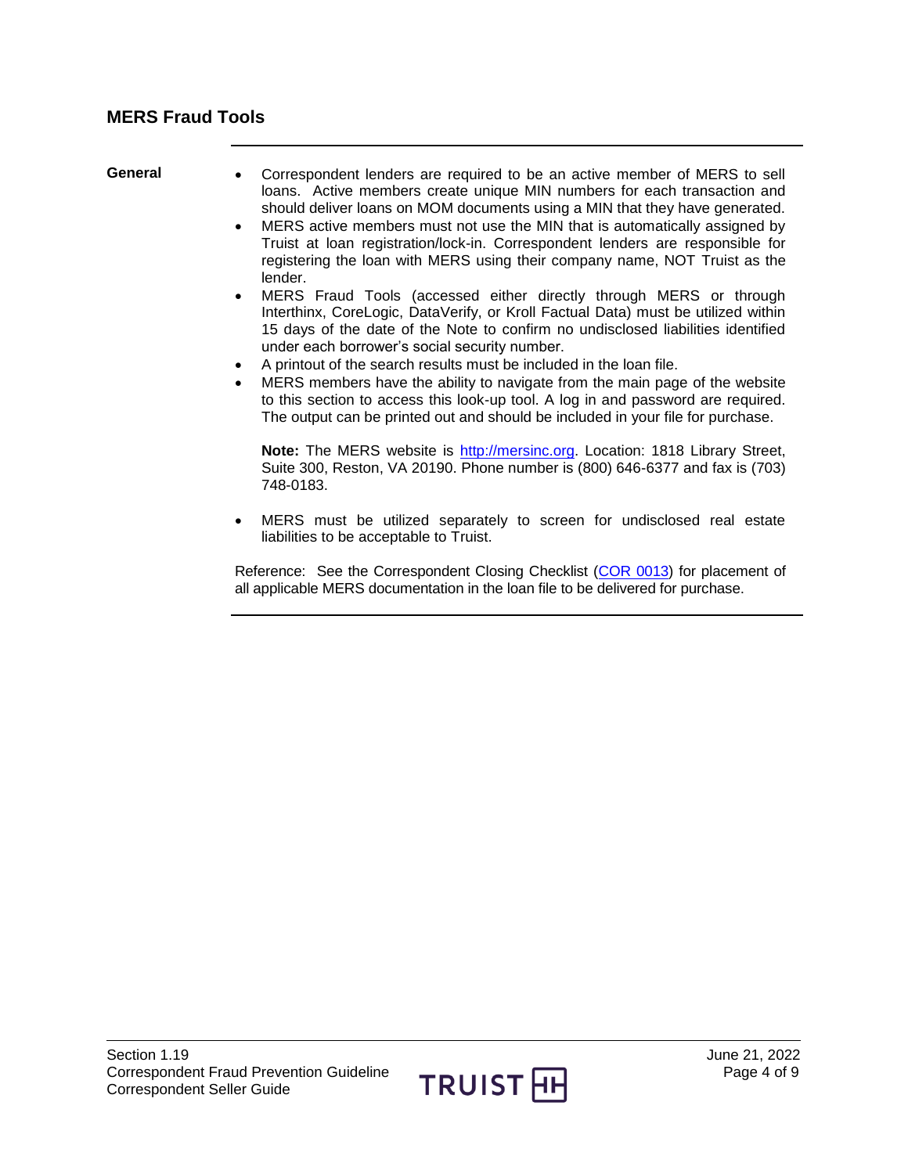- <span id="page-3-0"></span>General • Correspondent lenders are required to be an active member of MERS to sell loans. Active members create unique MIN numbers for each transaction and should deliver loans on MOM documents using a MIN that they have generated.
	- MERS active members must not use the MIN that is automatically assigned by Truist at loan registration/lock-in. Correspondent lenders are responsible for registering the loan with MERS using their company name, NOT Truist as the lender.
	- MERS Fraud Tools (accessed either directly through MERS or through Interthinx, CoreLogic, DataVerify, or Kroll Factual Data) must be utilized within 15 days of the date of the Note to confirm no undisclosed liabilities identified under each borrower's social security number.
	- A printout of the search results must be included in the loan file.
	- MERS members have the ability to navigate from the main page of the website to this section to access this look-up tool. A log in and password are required. The output can be printed out and should be included in your file for purchase.

**Note:** The MERS website is [http://mersinc.org.](http://mersinc.org/) Location: 1818 Library Street, Suite 300, Reston, VA 20190. Phone number is (800) 646-6377 and fax is (703) 748-0183.

 MERS must be utilized separately to screen for undisclosed real estate liabilities to be acceptable to Truist.

Reference: See the Correspondent Closing Checklist [\(COR 0013\)](https://truistsellerguide.com/manual/COR/forms/COR0013.pdf) for placement of all applicable MERS documentation in the loan file to be delivered for purchase.

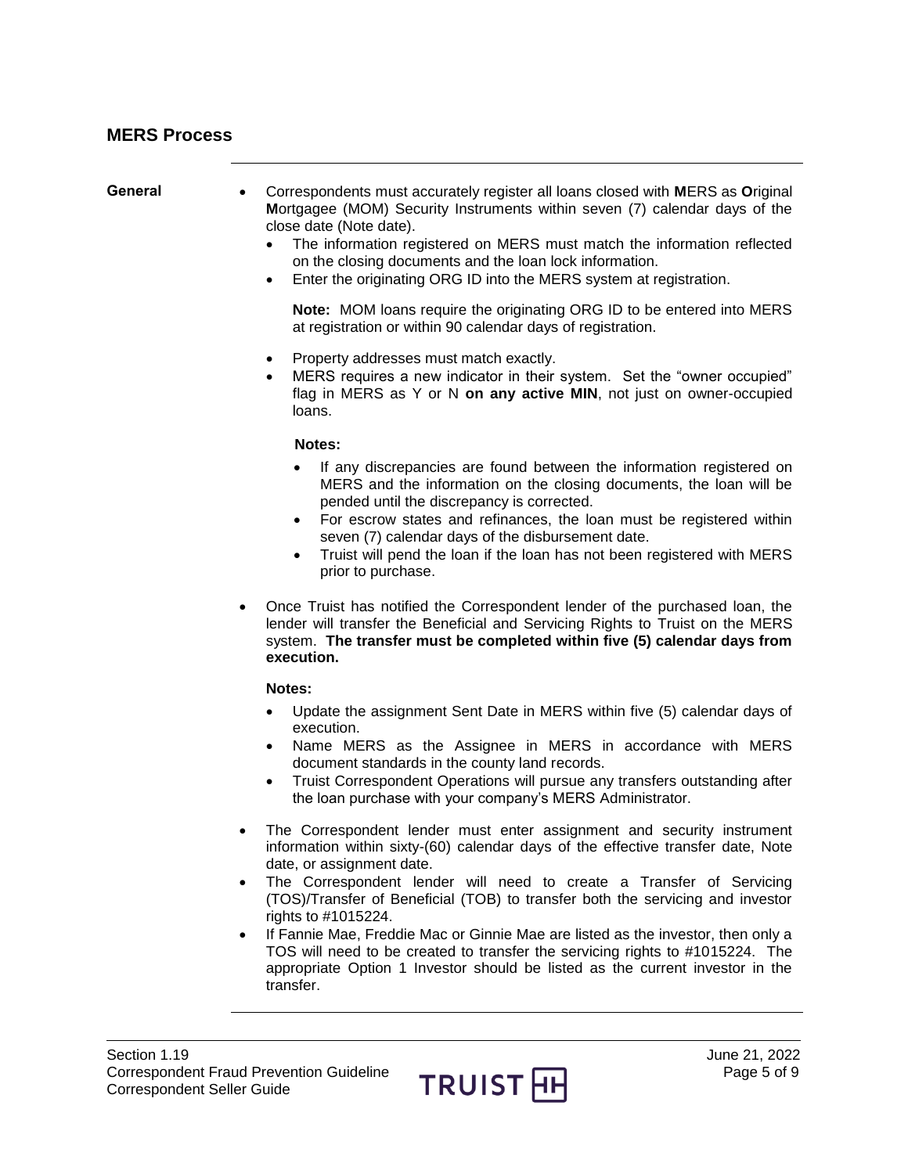<span id="page-4-1"></span><span id="page-4-0"></span>

| Section 1.19<br><b>Correspondent Seller Guide</b> | June 21, 2022<br><b>Correspondent Fraud Prevention Guideline</b><br>Page 5 of 9<br>TRUIST HH                                                                                                                                                                                                                                                                                                                                                                                                                                                                                                                                                                          |
|---------------------------------------------------|-----------------------------------------------------------------------------------------------------------------------------------------------------------------------------------------------------------------------------------------------------------------------------------------------------------------------------------------------------------------------------------------------------------------------------------------------------------------------------------------------------------------------------------------------------------------------------------------------------------------------------------------------------------------------|
|                                                   | The Correspondent lender must enter assignment and security instrument<br>information within sixty-(60) calendar days of the effective transfer date, Note<br>date, or assignment date.<br>The Correspondent lender will need to create a Transfer of Servicing<br>$\bullet$<br>(TOS)/Transfer of Beneficial (TOB) to transfer both the servicing and investor<br>rights to #1015224.<br>If Fannie Mae, Freddie Mac or Ginnie Mae are listed as the investor, then only a<br>$\bullet$<br>TOS will need to be created to transfer the servicing rights to #1015224. The<br>appropriate Option 1 Investor should be listed as the current investor in the<br>transfer. |
|                                                   | Notes:<br>Update the assignment Sent Date in MERS within five (5) calendar days of<br>$\bullet$<br>execution.<br>Name MERS as the Assignee in MERS in accordance with MERS<br>$\bullet$<br>document standards in the county land records.<br>Truist Correspondent Operations will pursue any transfers outstanding after<br>$\bullet$<br>the loan purchase with your company's MERS Administrator.                                                                                                                                                                                                                                                                    |
|                                                   | Once Truist has notified the Correspondent lender of the purchased loan, the<br>٠<br>lender will transfer the Beneficial and Servicing Rights to Truist on the MERS<br>system. The transfer must be completed within five (5) calendar days from<br>execution.                                                                                                                                                                                                                                                                                                                                                                                                        |
|                                                   | Notes:<br>If any discrepancies are found between the information registered on<br>MERS and the information on the closing documents, the loan will be<br>pended until the discrepancy is corrected.<br>For escrow states and refinances, the loan must be registered within<br>seven (7) calendar days of the disbursement date.<br>Truist will pend the loan if the loan has not been registered with MERS<br>$\bullet$<br>prior to purchase.                                                                                                                                                                                                                        |
|                                                   | Property addresses must match exactly.<br>$\bullet$<br>MERS requires a new indicator in their system. Set the "owner occupied"<br>flag in MERS as Y or N on any active MIN, not just on owner-occupied<br>loans.                                                                                                                                                                                                                                                                                                                                                                                                                                                      |
|                                                   | <b>Note:</b> MOM loans require the originating ORG ID to be entered into MERS<br>at registration or within 90 calendar days of registration.                                                                                                                                                                                                                                                                                                                                                                                                                                                                                                                          |
| General                                           | Correspondents must accurately register all loans closed with MERS as Original<br>Mortgagee (MOM) Security Instruments within seven (7) calendar days of the<br>close date (Note date).<br>The information registered on MERS must match the information reflected<br>on the closing documents and the loan lock information.<br>Enter the originating ORG ID into the MERS system at registration.<br>٠                                                                                                                                                                                                                                                              |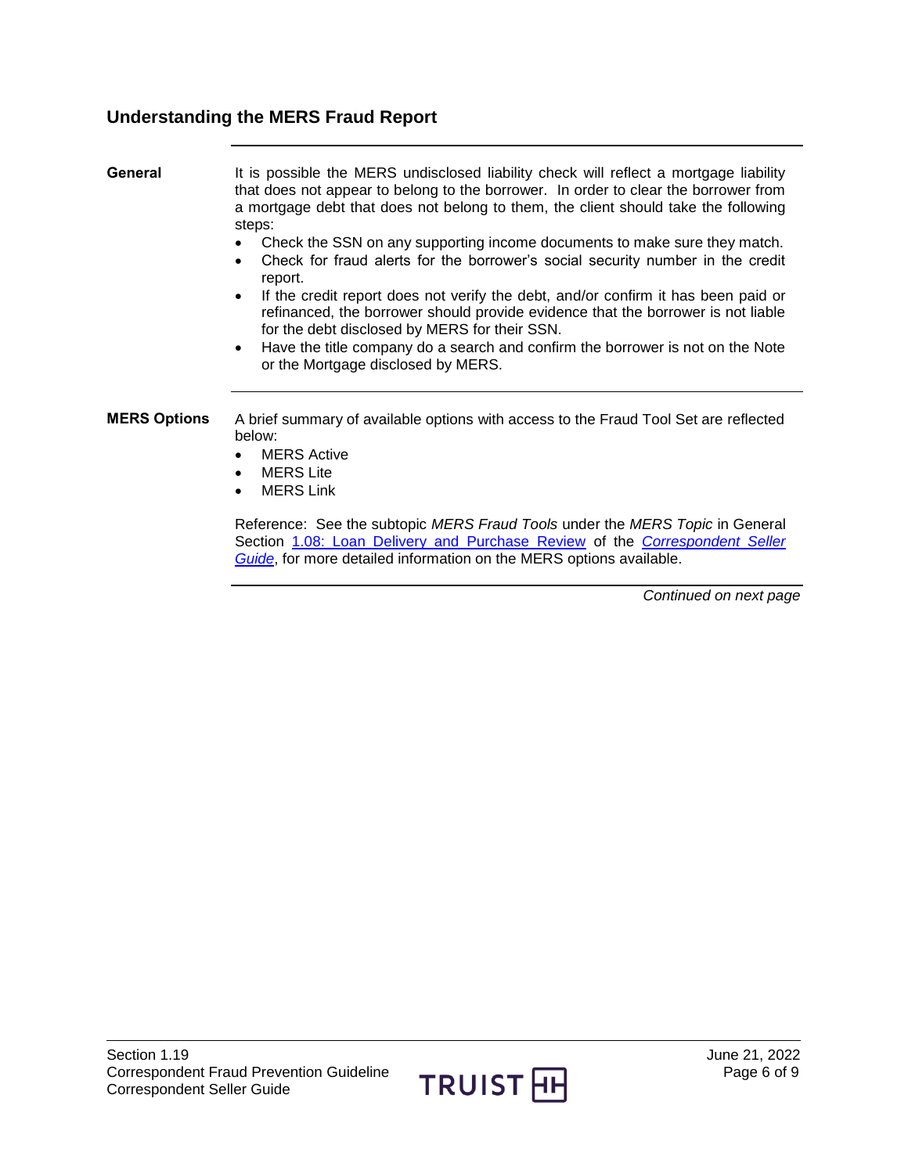# <span id="page-5-0"></span>**Understanding the MERS Fraud Report**

<span id="page-5-1"></span>

| General             | It is possible the MERS undisclosed liability check will reflect a mortgage liability<br>that does not appear to belong to the borrower. In order to clear the borrower from<br>a mortgage debt that does not belong to them, the client should take the following<br>steps:<br>Check the SSN on any supporting income documents to make sure they match.<br>$\bullet$<br>Check for fraud alerts for the borrower's social security number in the credit<br>$\bullet$<br>report.<br>If the credit report does not verify the debt, and/or confirm it has been paid or<br>$\bullet$<br>refinanced, the borrower should provide evidence that the borrower is not liable<br>for the debt disclosed by MERS for their SSN.<br>Have the title company do a search and confirm the borrower is not on the Note<br>$\bullet$<br>or the Mortgage disclosed by MERS. |
|---------------------|--------------------------------------------------------------------------------------------------------------------------------------------------------------------------------------------------------------------------------------------------------------------------------------------------------------------------------------------------------------------------------------------------------------------------------------------------------------------------------------------------------------------------------------------------------------------------------------------------------------------------------------------------------------------------------------------------------------------------------------------------------------------------------------------------------------------------------------------------------------|
| <b>MERS Options</b> | A brief summary of available options with access to the Fraud Tool Set are reflected<br>below:                                                                                                                                                                                                                                                                                                                                                                                                                                                                                                                                                                                                                                                                                                                                                               |

- <span id="page-5-2"></span>• MERS Active
- MERS Lite
- MERS Link

Reference: See the subtopic *MERS Fraud Tools* under the *MERS Topic* in General Section [1.08: Loan Delivery and Purchase Review](https://truistsellerguide.com/manual/cor/general/1.08LoanDel.pdf) of the *[Correspondent Seller](https://truistsellerguide.com/)  [Guide](https://truistsellerguide.com/)*, for more detailed information on the MERS options available.

*Continued on next page*

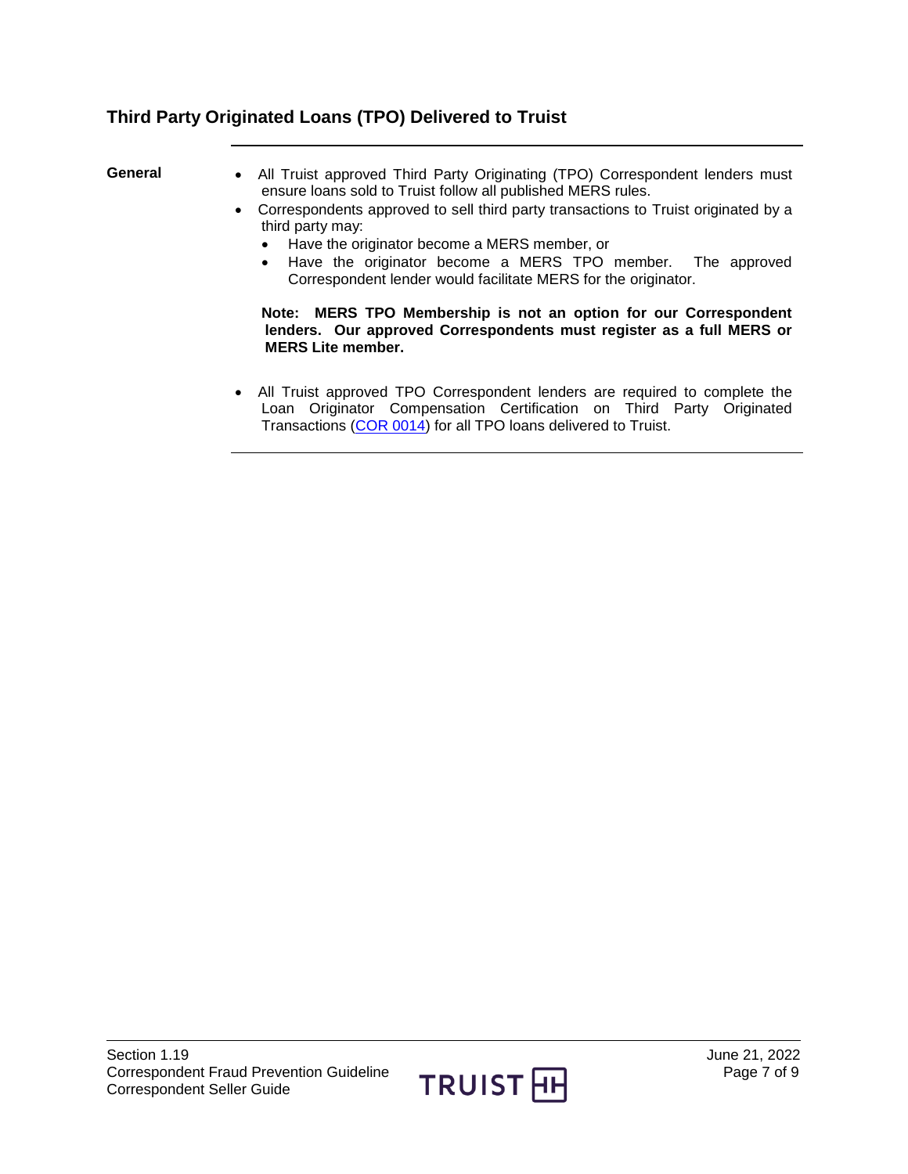# **Third Party Originated Loans (TPO) Delivered to Truist**

- <span id="page-6-0"></span>General • All Truist approved Third Party Originating (TPO) Correspondent lenders must ensure loans sold to Truist follow all published MERS rules.
	- Correspondents approved to sell third party transactions to Truist originated by a third party may:
		- Have the originator become a MERS member, or
		- Have the originator become a MERS TPO member. The approved Correspondent lender would facilitate MERS for the originator.

### **Note: MERS TPO Membership is not an option for our Correspondent lenders. Our approved Correspondents must register as a full MERS or MERS Lite member.**

 All Truist approved TPO Correspondent lenders are required to complete the Loan Originator Compensation Certification on Third Party Originated Transactions [\(COR 0014\)](https://truistsellerguide.com/manual/cor/forms/cor0014.pdf) for all TPO loans delivered to Truist.

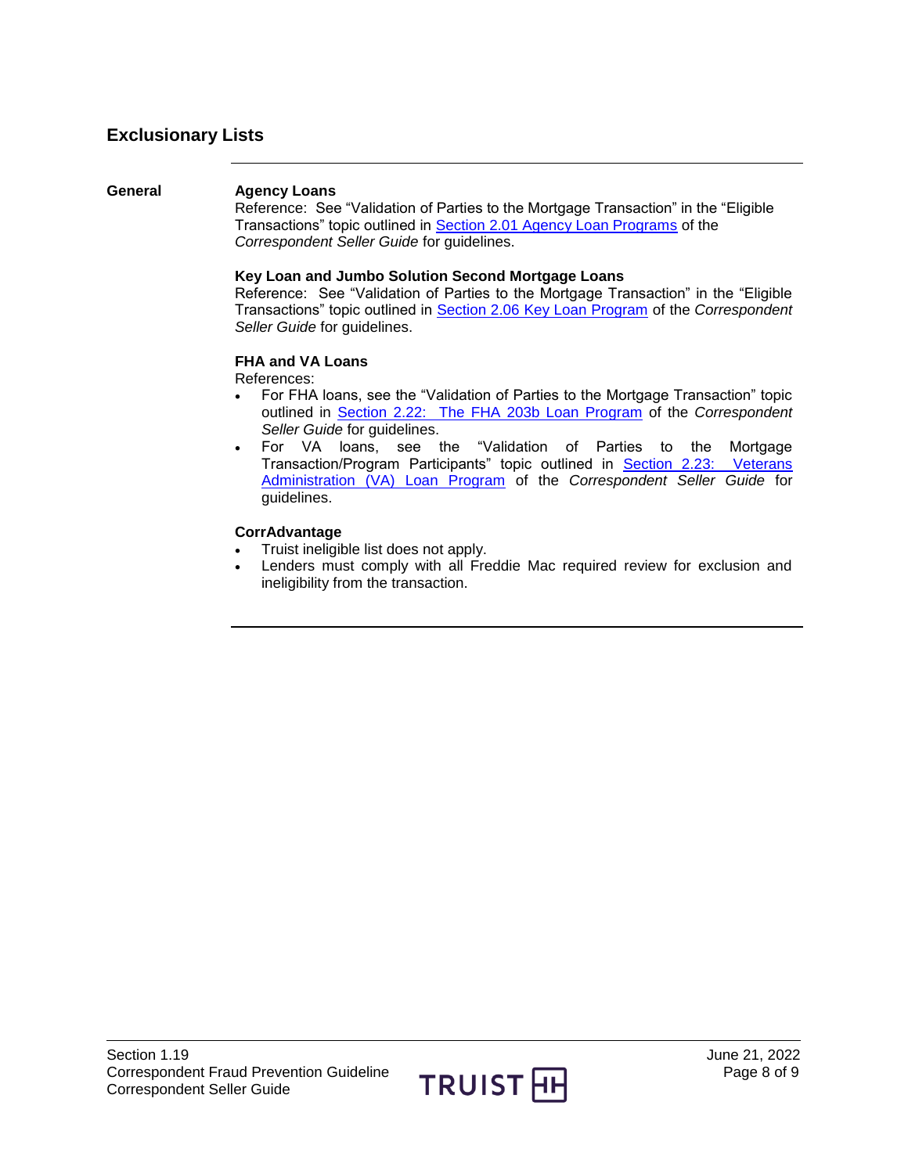# <span id="page-7-0"></span>**Exclusionary Lists**

### <span id="page-7-1"></span>**General Agency Loans**

Reference: See "Validation of Parties to the Mortgage Transaction" in the "Eligible Transactions" topic outlined in [Section 2.01 Agency Loan Programs](https://truistsellerguide.com/manual/cor/products/cagency.pdf) of the *Correspondent Seller Guide* for guidelines.

#### **Key Loan and Jumbo Solution Second Mortgage Loans**

Reference: See "Validation of Parties to the Mortgage Transaction" in the "Eligible Transactions" topic outlined in [Section 2.06 Key Loan Program](https://truistsellerguide.com/manual/cor/products/CKey.pdf) of the *Correspondent Seller Guide* for guidelines.

### **FHA and VA Loans**

References:

- For FHA loans, see the "Validation of Parties to the Mortgage Transaction" topic outlined in [Section 2.22: The FHA 203b Loan Program](https://truistsellerguide.com/manual/cor/products/CFHA.pdf) of the *Correspondent Seller Guide* for guidelines.
- For VA loans, see the "Validation of Parties to the Mortgage Transaction/Program Participants" topic outlined in [Section 2.23: Veterans](https://truistsellerguide.com/manual/cor/products/CVA.pdf)  [Administration \(VA\) Loan Program](https://truistsellerguide.com/manual/cor/products/CVA.pdf) of the *Correspondent Seller Guide* for guidelines.

### **CorrAdvantage**

- Truist ineligible list does not apply.
- Lenders must comply with all Freddie Mac required review for exclusion and ineligibility from the transaction.